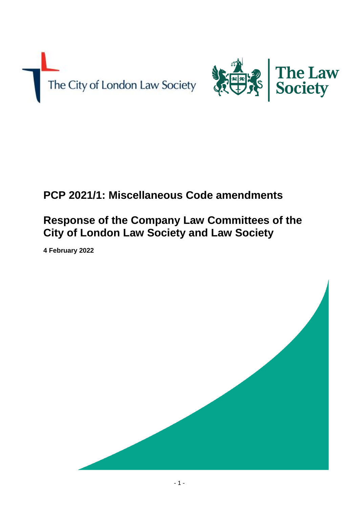



# **PCP 2021/1: Miscellaneous Code amendments**

## **Response of the Company Law Committees of the City of London Law Society and Law Society**

**4 February 2022**

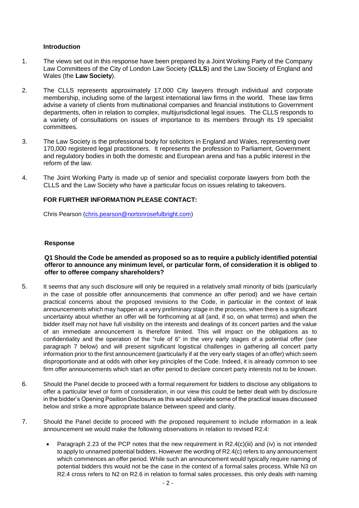#### **Introduction**

- 1. The views set out in this response have been prepared by a Joint Working Party of the Company Law Committees of the City of London Law Society (**CLLS**) and the Law Society of England and Wales (the **Law Society**).
- 2. The CLLS represents approximately 17,000 City lawyers through individual and corporate membership, including some of the largest international law firms in the world. These law firms advise a variety of clients from multinational companies and financial institutions to Government departments, often in relation to complex, multijurisdictional legal issues. The CLLS responds to a variety of consultations on issues of importance to its members through its 19 specialist committees.
- 3. The Law Society is the professional body for solicitors in England and Wales, representing over 170,000 registered legal practitioners. It represents the profession to Parliament, Government and regulatory bodies in both the domestic and European arena and has a public interest in the reform of the law.
- 4. The Joint Working Party is made up of senior and specialist corporate lawyers from both the CLLS and the Law Society who have a particular focus on issues relating to takeovers.

#### **FOR FURTHER INFORMATION PLEASE CONTACT:**

Chris Pearson (chris.pearson@nortonrosefulbright.com)

#### **Response**

#### **Q1 Should the Code be amended as proposed so as to require a publicly identified potential offeror to announce any minimum level, or particular form, of consideration it is obliged to offer to offeree company shareholders?**

- 5. It seems that any such disclosure will only be required in a relatively small minority of bids (particularly in the case of possible offer announcements that commence an offer period) and we have certain practical concerns about the proposed revisions to the Code, in particular in the context of leak announcements which may happen at a very preliminary stage in the process, when there is a significant uncertainty about whether an offer will be forthcoming at all (and, if so, on what terms) and when the bidder itself may not have full visibility on the interests and dealings of its concert parties and the value of an immediate announcement is therefore limited. This will impact on the obligations as to confidentiality and the operation of the "rule of 6" in the very early stages of a potential offer (see paragraph 7 below) and will present significant logistical challenges in gathering all concert party information prior to the first announcement (particularly if at the very early stages of an offer) which seem disproportionate and at odds with other key principles of the Code. Indeed, it is already common to see firm offer announcements which start an offer period to declare concert party interests not to be known.
- 6. Should the Panel decide to proceed with a formal requirement for bidders to disclose any obligations to offer a particular level or form of consideration, in our view this could be better dealt with by disclosure in the bidder's Opening Position Disclosure as this would alleviate some of the practical issues discussed below and strike a more appropriate balance between speed and clarity.
- 7. Should the Panel decide to proceed with the proposed requirement to include information in a leak announcement we would make the following observations in relation to revised R2.4:
	- Paragraph 2.23 of the PCP notes that the new requirement in  $R2.4(c)(iii)$  and (iv) is not intended to apply to unnamed potential bidders. However the wording of R2.4(c) refers to any announcement which commences an offer period. While such an announcement would typically require naming of potential bidders this would not be the case in the context of a formal sales process. While N3 on R2.4 cross refers to N2 on R2.6 in relation to formal sales processes, this only deals with naming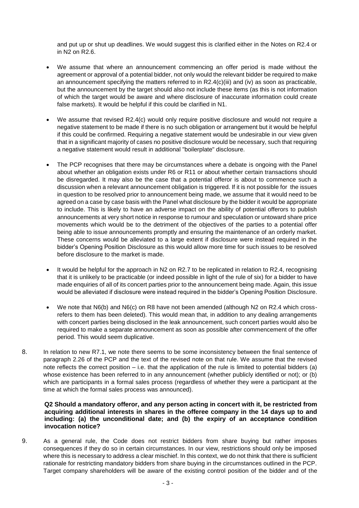and put up or shut up deadlines. We would suggest this is clarified either in the Notes on R2.4 or in N2 on R2.6.

- We assume that where an announcement commencing an offer period is made without the agreement or approval of a potential bidder, not only would the relevant bidder be required to make an announcement specifying the matters referred to in R2.4(c)(iii) and (iv) as soon as practicable, but the announcement by the target should also not include these items (as this is not information of which the target would be aware and where disclosure of inaccurate information could create false markets). It would be helpful if this could be clarified in N1.
- We assume that revised R2.4(c) would only require positive disclosure and would not require a negative statement to be made if there is no such obligation or arrangement but it would be helpful if this could be confirmed. Requiring a negative statement would be undesirable in our view given that in a significant majority of cases no positive disclosure would be necessary, such that requiring a negative statement would result in additional "boilerplate" disclosure.
- The PCP recognises that there may be circumstances where a debate is ongoing with the Panel about whether an obligation exists under R6 or R11 or about whether certain transactions should be disregarded. It may also be the case that a potential offeror is about to commence such a discussion when a relevant announcement obligation is triggered. If it is not possible for the issues in question to be resolved prior to announcement being made, we assume that it would need to be agreed on a case by case basis with the Panel what disclosure by the bidder it would be appropriate to include. This is likely to have an adverse impact on the ability of potential offerors to publish announcements at very short notice in response to rumour and speculation or untoward share price movements which would be to the detriment of the objectives of the parties to a potential offer being able to issue announcements promptly and ensuring the maintenance of an orderly market. These concerns would be alleviated to a large extent if disclosure were instead required in the bidder's Opening Position Disclosure as this would allow more time for such issues to be resolved before disclosure to the market is made.
- It would be helpful for the approach in N2 on R2.7 to be replicated in relation to R2.4, recognising that it is unlikely to be practicable (or indeed possible in light of the rule of six) for a bidder to have made enquiries of all of its concert parties prior to the announcement being made. Again, this issue would be alleviated if disclosure were instead required in the bidder's Opening Position Disclosure.
- We note that N6(b) and N6(c) on R8 have not been amended (although N2 on R2.4 which crossrefers to them has been deleted). This would mean that, in addition to any dealing arrangements with concert parties being disclosed in the leak announcement, such concert parties would also be required to make a separate announcement as soon as possible after commencement of the offer period. This would seem duplicative.
- 8. In relation to new R7.1, we note there seems to be some inconsistency between the final sentence of paragraph 2.26 of the PCP and the text of the revised note on that rule. We assume that the revised note reflects the correct position – i.e. that the application of the rule is limited to potential bidders (a) whose existence has been referred to in any announcement (whether publicly identified or not); or (b) which are participants in a formal sales process (regardless of whether they were a participant at the time at which the formal sales process was announced).

#### **Q2 Should a mandatory offeror, and any person acting in concert with it, be restricted from acquiring additional interests in shares in the offeree company in the 14 days up to and including: (a) the unconditional date; and (b) the expiry of an acceptance condition invocation notice?**

9. As a general rule, the Code does not restrict bidders from share buying but rather imposes consequences if they do so in certain circumstances. In our view, restrictions should only be imposed where this is necessary to address a clear mischief. In this context, we do not think that there is sufficient rationale for restricting mandatory bidders from share buying in the circumstances outlined in the PCP. Target company shareholders will be aware of the existing control position of the bidder and of the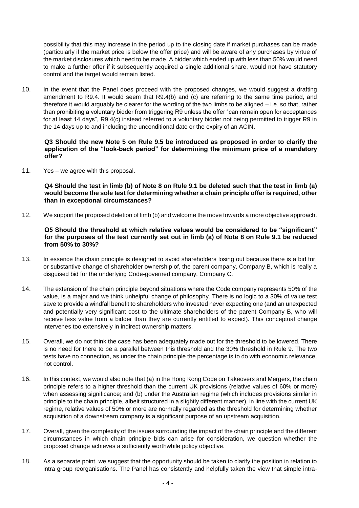possibility that this may increase in the period up to the closing date if market purchases can be made (particularly if the market price is below the offer price) and will be aware of any purchases by virtue of the market disclosures which need to be made. A bidder which ended up with less than 50% would need to make a further offer if it subsequently acquired a single additional share, would not have statutory control and the target would remain listed.

10. In the event that the Panel does proceed with the proposed changes, we would suggest a drafting amendment to R9.4. It would seem that R9.4(b) and (c) are referring to the same time period, and therefore it would arguably be clearer for the wording of the two limbs to be aligned – i.e. so that, rather than prohibiting a voluntary bidder from triggering R9 unless the offer "can remain open for acceptances for at least 14 days", R9.4(c) instead referred to a voluntary bidder not being permitted to trigger R9 in the 14 days up to and including the unconditional date or the expiry of an ACIN.

#### **Q3 Should the new Note 5 on Rule 9.5 be introduced as proposed in order to clarify the application of the "look-back period" for determining the minimum price of a mandatory offer?**

11. Yes – we agree with this proposal.

**Q4 Should the test in limb (b) of Note 8 on Rule 9.1 be deleted such that the test in limb (a) would become the sole test for determining whether a chain principle offer is required, other than in exceptional circumstances?**

12. We support the proposed deletion of limb (b) and welcome the move towards a more objective approach.

### **Q5 Should the threshold at which relative values would be considered to be "significant" for the purposes of the test currently set out in limb (a) of Note 8 on Rule 9.1 be reduced from 50% to 30%?**

- 13. In essence the chain principle is designed to avoid shareholders losing out because there is a bid for, or substantive change of shareholder ownership of, the parent company, Company B, which is really a disguised bid for the underlying Code-governed company, Company C.
- 14. The extension of the chain principle beyond situations where the Code company represents 50% of the value, is a major and we think unhelpful change of philosophy. There is no logic to a 30% of value test save to provide a windfall benefit to shareholders who invested never expecting one (and an unexpected and potentially very significant cost to the ultimate shareholders of the parent Company B, who will receive less value from a bidder than they are currently entitled to expect). This conceptual change intervenes too extensively in indirect ownership matters.
- 15. Overall, we do not think the case has been adequately made out for the threshold to be lowered. There is no need for there to be a parallel between this threshold and the 30% threshold in Rule 9. The two tests have no connection, as under the chain principle the percentage is to do with economic relevance, not control.
- 16. In this context, we would also note that (a) in the Hong Kong Code on Takeovers and Mergers, the chain principle refers to a higher threshold than the current UK provisions (relative values of 60% or more) when assessing significance; and (b) under the Australian regime (which includes provisions similar in principle to the chain principle, albeit structured in a slightly different manner), in line with the current UK regime, relative values of 50% or more are normally regarded as the threshold for determining whether acquisition of a downstream company is a significant purpose of an upstream acquisition.
- 17. Overall, given the complexity of the issues surrounding the impact of the chain principle and the different circumstances in which chain principle bids can arise for consideration, we question whether the proposed change achieves a sufficiently worthwhile policy objective.
- 18. As a separate point, we suggest that the opportunity should be taken to clarify the position in relation to intra group reorganisations. The Panel has consistently and helpfully taken the view that simple intra-